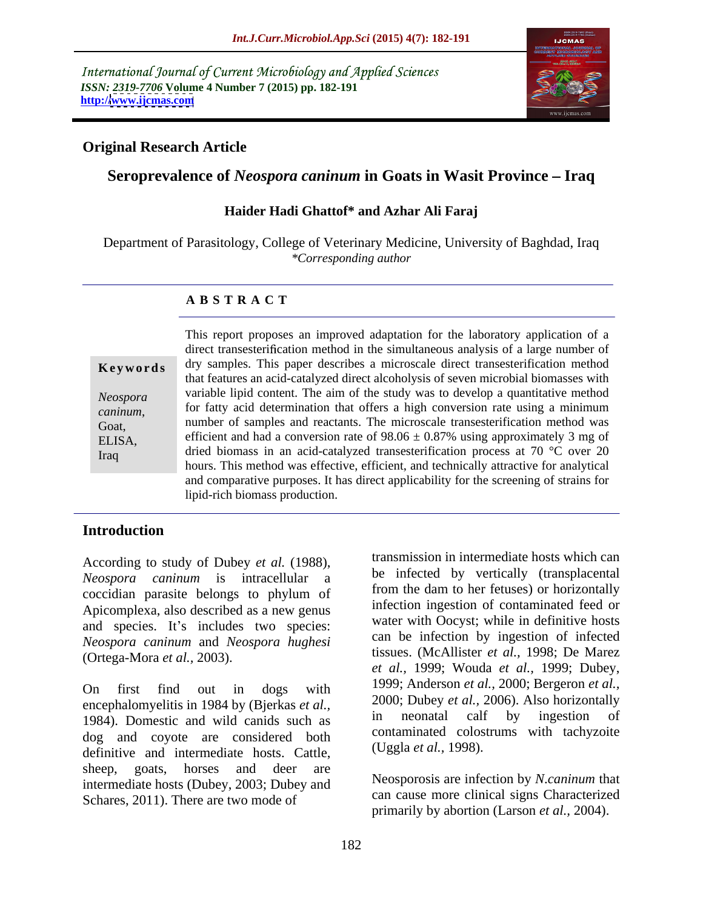International Journal of Current Microbiology and Applied Sciences *ISSN: 2319-7706* **Volume 4 Number 7 (2015) pp. 182-191 http:/[/www.ijcmas.com](http://www.ijcmas.com)**



# **Original Research Article**

# **Seroprevalence of** *Neospora caninum* **in Goats in Wasit Province Iraq**

### **Haider Hadi Ghattof\* and Azhar Ali Faraj**

Department of Parasitology, College of Veterinary Medicine, University of Baghdad, Iraq *\*Corresponding author*

#### **A B S T R A C T**

Iraq

This report proposes an improved adaptation for the laboratory application of a direct transesterification method in the simultaneous analysis of a large number of dry samples. This paper describes a microscale direct transesterification method **Ke ywo rds** that features an acid-catalyzed direct alcoholysis of seven microbial biomasses with variable lipid content. The aim of the study was to develop a quantitative method *Neospora*  for fatty acid determination that offers a high conversion rate using a minimum *caninum*, for fatty acid determination that offers a high conversion rate using a minimum<br>Goat, number of samples and reactants. The microscale transesterification method was ELISA, efficient and had a conversion rate of  $98.06 \pm 0.87\%$  using approximately 3 mg of dried biomass in an acid-catalyzed transesterification process at 70 °C over 20 hours. This method was effective, efficient, and technically attractive for analytical and comparative purposes. It has direct applicability for the screening of strains for lipid-rich biomass production.

# **Introduction**

According to study of Dubey *et al.* (1988), *Neospora caninum* is intracellular a coccidian parasite belongs to phylum of Apicomplexa, also described as a new genus and species. It's includes two species: *Neospora caninum* and *Neospora hughesi* (Ortega-Mora *et al.,* 2003).

On first find out in dogs with  $\frac{1999}{2000}$ , Anderson et al., 2000; Bergeron et al., encephalomyelitis in 1984 by (Bjerkas *et al.*, 2000; Dubey *et al.*, 2006). Also norizontally<br>1984). Democratic and wild conide such as a simple proportion of the interestion of 1984). Domestic and wild canids such as dog and coyote are considered both contaminated colors<br>definitive and intermediate hosts Cattle (Uggla *et al.*, 1998). definitive and intermediate hosts. Cattle, sheep, goats, horses and deer are intermediate hosts (Dubey, 2003; Dubey and Schares, 2011). There are two mode of

transmission in intermediate hosts which can be infected by vertically (transplacental from the dam to her fetuses) or horizontally infection ingestion of contaminated feed or water with Oocyst; while in definitive hosts can be infection by ingestion of infected tissues. (McAllister *et al.,* 1998; De Marez *et al.,* 1999; Wouda *et al.,* 1999; Dubey, 1999; Anderson *et al.,* 2000; Bergeron *et al.,* 2000; Dubey *et al.,* 2006). Also horizontally in neonatal calf by ingestion of contaminated colostrums with tachyzoite (Uggla *et al.,* 1998).

Neosporosis are infection by *N*.*caninum* that can cause more clinical signs Characterized primarily by abortion (Larson *et al.,* 2004).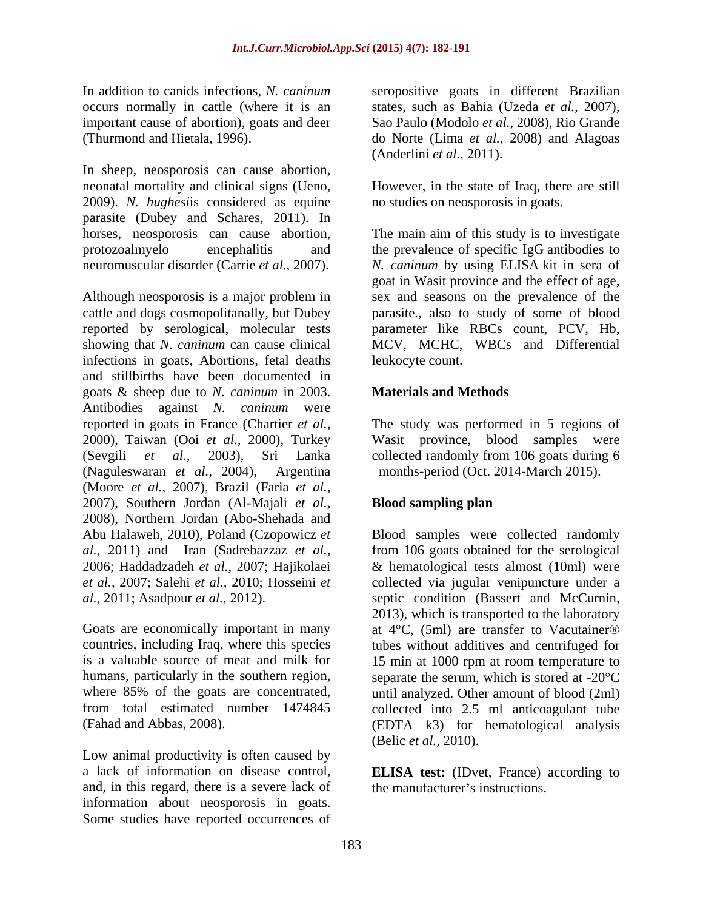occurs normally in cattle (where it is an states, such as Bahia (Uzeda *et al.*, 2007), important cause of abortion), goats and deer Sao Paulo (Modolo *et al.*, 2008), Rio Grande

In sheep, neosporosis can cause abortion,<br>neonatal mortality and clinical signs (Ueno, However, in the state of Iraq, there are still 2009). *N. hughesi*is considered as equine parasite (Dubey and Schares, 2011). In horses, neosporosis can cause abortion, The main aim of this study is to investigate protozoalmyelo encephalitis and the prevalence of specific IgG antibodies to neuromuscular disorder (Carrie *et al.,* 2007).

Although neosporosis is a major problem in sex and seasons on the prevalence of the cattle and dogs cosmopolitanally, but Dubey reported by serological, molecular tests parameter like RBCs count, PCV, Hb, showing that *N*. *caninum* can cause clinical MCV, MCHC, WBCs and Differential infections in goats, Abortions, fetal deaths and stillbirths have been documented in goats & sheep due to *<sup>N</sup>*. *caninum* in 2003. Antibodies against *N. caninum* were reported in goats in France (Chartier *et al.,* The study was performed in 5 regions of 2000), Taiwan (Ooi *et al.,* 2000), Turkey (Sevgili *et al.,* 2003), Sri Lanka collected randomly from 106 goats during 6 (Naguleswaran *et al.,* 2004), Argentina months-period (Oct. 2014-March 2015). (Moore *et al.,* 2007), Brazil (Faria *et al.,* 2007), Southern Jordan (Al-Majali *et al.,* 2008), Northern Jordan (Abo-Shehada and Abu Halaweh, 2010), Poland (Czopowicz *et*  Blood samples were collected randomly *al.,* 2011) and Iran (Sadrebazzaz *et al.,* from 106 goats obtained for the serological 2006; Haddadzadeh *et al.,* 2007; Hajikolaei & hematological tests almost (10ml) were *et al.,* 2007; Salehi *et al.,* 2010; Hosseini *et*  collected via jugular venipuncture under a

a lack of information on disease control, **ELISA test:** (IDvet, France) according to and, in this regard, there is a severe lack of information about neosporosis in goats. Some studies have reported occurrences of

In addition to canids infections, *N. caninum* seropositive goats in different Brazilian (Thurmond and Hietala, 1996). do Norte (Lima *et al.,* 2008) and Alagoas states, such as Bahia (Uzeda *et al.*, 2007),<br>Sao Paulo (Modolo *et al.*, 2008), Rio Grande (Anderlini *et al.,* 2011).

> However, in the state of Iraq, there are still no studies on neosporosis in goats.

*N. caninum* by using ELISA kit in sera of goat in Wasit province and the effect of age, parasite., also to study of some of blood leukocyte count.

# **Materials and Methods**

Wasit province, blood samples were

# **Blood sampling plan**

*al.,* 2011; Asadpour *et al.,* 2012). septic condition (Bassert and McCurnin, Goats are economically important in many at 4°C, (5ml) are transfer to Vacutainer® countries, including Iraq, where this species tubes without additives and centrifuged for is a valuable source of meat and milk for 15 min at 1000 rpm at room temperature to humans, particularly in the southern region, separate the serum, which is stored at -20°C where 85% of the goats are concentrated, until analyzed. Other amount of blood (2ml) from total estimated number 1474845 collected into 2.5 ml anticoagulant tube (Fahad and Abbas, 2008). (EDTA k3) for hematological analysis (Belic *et al.*, 2010).<br>Low animal productivity is often caused by 2013), which is transported to the laboratory (EDTA k3) for hematological analysis (Belic *et al.,* 2010).

the manufacturer's instructions.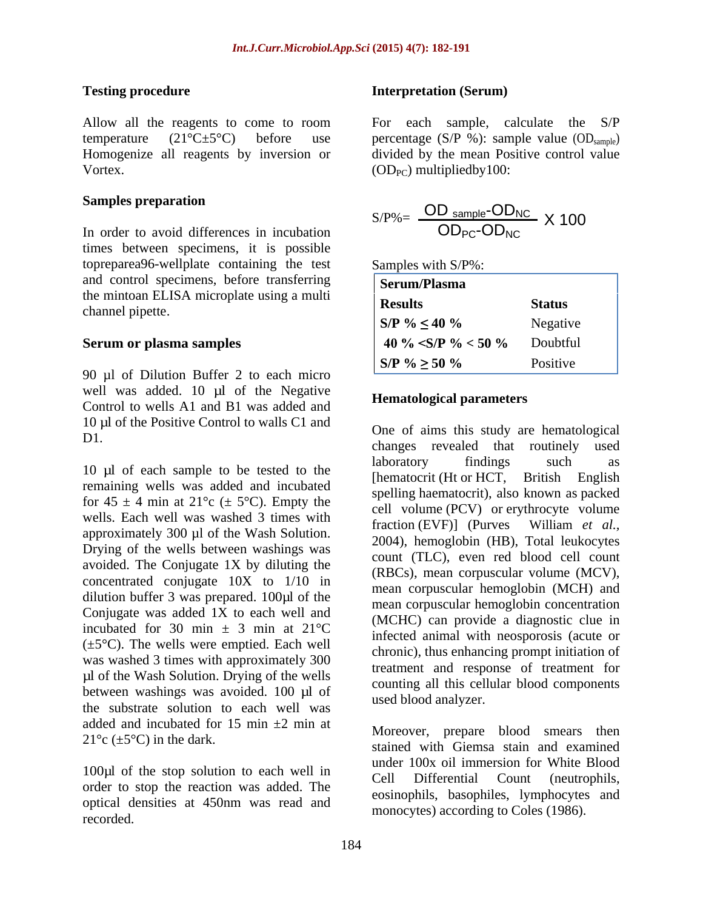Allow all the reagents to come to room For each sample, calculate the S/P temperature  $(21^{\circ}C \pm 5^{\circ}C)$  before use percentage (S/P %): sample value (OD<sub>sample</sub>) Homogenize all reagents by inversion or divided by the mean Positive control value

### Samples preparation and the samples preparation and the samples of the samples of the samples of the samples of the samples of the samples of the samples of the samples of the samples of the samples of the samples of the s

In order to avoid differences in incubation times between specimens, it is possible topreparea96-wellplate containing the test and control specimens, before transferring the mintoan ELISA microplate using a multi channel pipette.

### **Serum or plasma samples**

90 µl of Dilution Buffer 2 to each micro well was added. 10 µl of the Negative Control to wells A1 and B1 was added and 10 µl of the Positive Control to walls C1 and

remaining wells was added and incubated for  $45 \pm 4$  min at  $21^{\circ}$ c ( $\pm$  5°C). Empty the wells. Each well was washed 3 times with<br>
fraction (EVF)] (Purves William *et al.*, approximately 300 µl of the Wash Solution. Drying of the wells between washings was avoided. The Conjugate 1X by diluting the concentrated conjugate 10X to 1/10 in dilution buffer 3 was prepared. 100µl of the Conjugate was added 1X to each well and incubated for 30 min  $\pm$  3 min at 21<sup>o</sup>C (±5°C). The wells were emptied. Each well was washed 3 times with approximately 300 µl of the Wash Solution. Drying of the wells between washings was avoided. 100 µl of the substrate solution to each well was added and incubated for 15 min  $\pm 2$  min at

 $100\mu l$  of the stop solution to each well in  $\text{Cell}$  Differential Count (neutrophils, order to stop the reaction was added. The optical densities at 450nm was read and recorded.

### **Testing procedure Interpretation (Serum)**

Vortex.  $(OD_{PC})$  multipliedby 100: For each sample, calculate the S/P

$$
S/P\% = \frac{OD_{sample}\text{-}OD_{NC}}{OD_{PC}\text{-}OD_{NC}} \times 100
$$

| $S/P\%$ :<br>$\tilde{\phantom{a}}$<br>Samples<br>with |  |
|-------------------------------------------------------|--|
|                                                       |  |

| Serum/Plasma                     |          |  |
|----------------------------------|----------|--|
| <b>Results</b>                   |          |  |
| $S/P \% \leq 40 \%$              | Negative |  |
| $ 40\%  < S/P$ % < 50 % Doubtful |          |  |
| $S/P \% \ge 50 \%$               | Positive |  |

# **Hematological parameters**

D1. Changes revealed that routinely used 10 µl of each sample to be tested to the laboratory findings such as One of aims this study are hematological laboratory findings such as [hematocrit (Ht or HCT, British English spelling haematocrit), also known as packed cell volume (PCV) or erythrocyte volume fraction (EVF)] (Purves William *et al.,* 2004), hemoglobin (HB), Total leukocytes count (TLC), even red blood cell count (RBCs), mean corpuscular volume (MCV), mean corpuscular hemoglobin (MCH) and mean corpuscular hemoglobin concentration (MCHC) can provide a diagnostic clue in infected animal with neosporosis (acute or chronic), thus enhancing prompt initiation of treatment and response of treatment for counting all this cellular blood components used blood analyzer.

 $21^{\circ}c \left( \pm 5^{\circ}C \right)$  in the dark.<br>stained with Giemsa stain and examined Moreover, prepare blood smears then under 100x oil immersion for White Blood Cell Differential Count (neutrophils, eosinophils, basophiles, lymphocytes and monocytes) according to Coles (1986).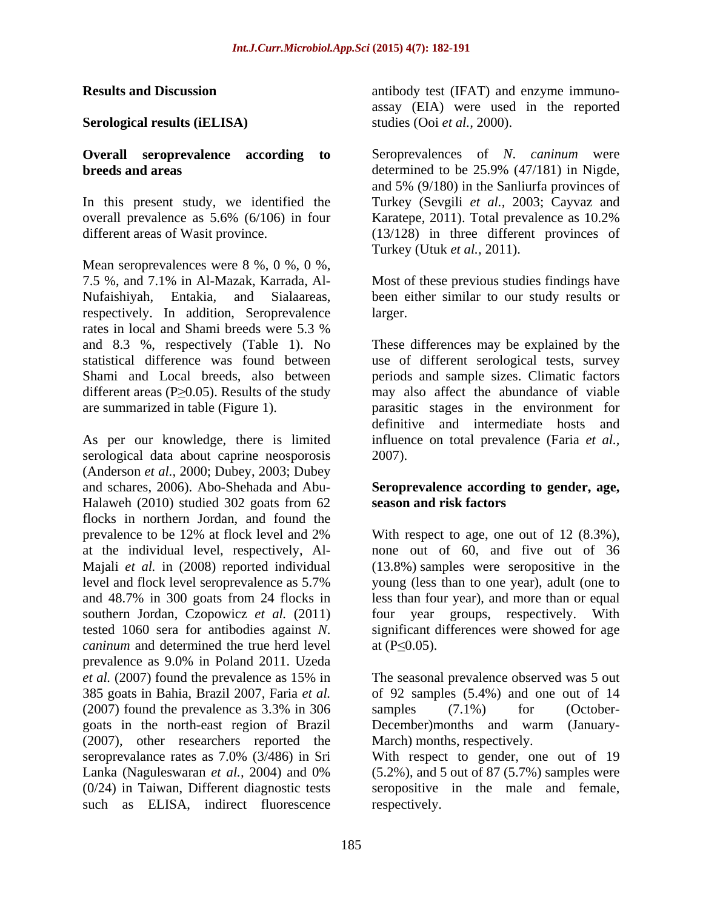### **Serological results (iELISA)**

overall prevalence as 5.6% (6/106) in four Karatepe, 2011). Total prevalence as 10.2%

Mean seroprevalences were 8 %, 0 %, 0 %, 7.5 %, and 7.1% in Al-Mazak, Karrada, Al- Most of these previous studies findings have Nufaishiyah, Entakia, and Sialaareas, been either similar to our study results or respectively. In addition, Seroprevalence rates in local and Shami breeds were 5.3 %

As per our knowledge, there is limited serological data about caprine neosporosis 2007). (Anderson *et al.,* 2000; Dubey, 2003; Dubey and schares, 2006). Abo-Shehada and Abu- **Seroprevalence according to gender, age,**  Halaweh (2010) studied 302 goats from 62 season and risk factors flocks in northern Jordan, and found the prevalence to be 12% at flock level and 2% With respect to age, one out of 12 (8.3%), at the individual level, respectively, Al- none out of 60, and five out of 36 Majali *et al.* in (2008) reported individual (13.8%) samples were seropositive in the level and flock level seroprevalence as 5.7% and 48.7% in 300 goats from 24 flocks in less than four year), and more than or equal southern Jordan, Czopowicz *et al.* (2011) four year groups, respectively. With tested 1060 sera for antibodies against *N*. significant differences were showed for age *caninum* and determined the true herd level  $at (P \le 0.05)$ . prevalence as 9.0% in Poland 2011. Uzeda *et al.* (2007) found the prevalence as 15% in 385 goats in Bahia, Brazil 2007, Faria *et al.* of 92 samples (5.4%) and one out of 14 (2007) found the prevalence as 3.3% in 306 goats in the north-east region of Brazil (2007), other researchers reported the such as ELISA, indirect fluorescence

**Results and Discussion** antibody test (IFAT) and enzyme immuno assay (EIA) were used in the reported studies (Ooi *et al.,* 2000).

**Overall seroprevalence according to** Seroprevalences of *N*. *caninum* were **breeds and areas** determined to be 25.9% (47/181) in Nigde, In this present study, we identified the Turkey (Sevgili *et al.,* 2003; Cayvaz and different areas of Wasit province. (13/128) in three different provinces of and 5% (9/180) in the Sanliurfa provinces of Karatepe, 2011). Total prevalence as 10.2% Turkey (Utuk *et al.,* 2011).

larger.

and 8.3 %, respectively (Table 1). No These differences may be explained by the statistical difference was found between use of different serological tests, survey Shami and Local breeds, also between periods and sample sizes. Climatic factors different areas  $(P \ge 0.05)$ . Results of the study may also affect the abundance of viable are summarized in table (Figure 1). parasitic stages in the environment for definitive and intermediate hosts and influence on total prevalence (Faria *et al.,* 2007).

# **season and risk factors**

young (less than to one year), adult (one to at  $(P \le 0.05)$ .

The seasonal prevalence observed was 5 out samples  $(7.1\%)$  for  $(October-)$ December)months and warm (January- March) months, respectively.

seroprevalance rates as 7.0% (3/486) in Sri With respect to gender, one out of 19 Lanka (Naguleswaran *et al.,* 2004) and 0% (0/24) in Taiwan, Different diagnostic tests seropositive in the male and female, (5.2%), and 5 out of 87 (5.7%) samples were respectively.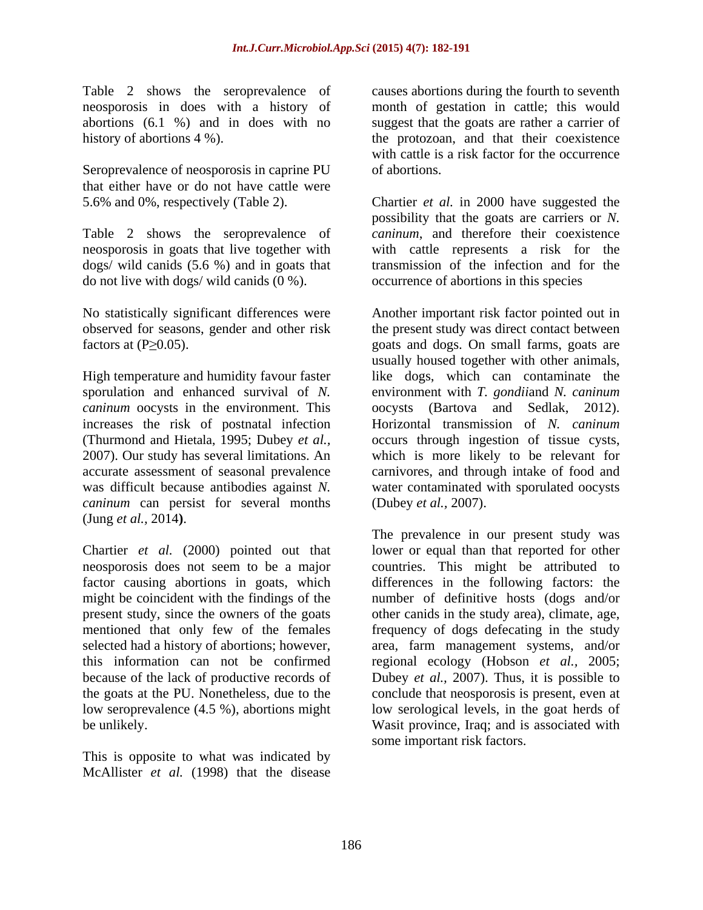Table 2 shows the seroprevalence of neosporosis in does with a history of month of gestation in cattle; this would abortions (6.1 %) and in does with no suggest that the goats are rather a carrier of

Seroprevalence of neosporosis in caprine PU of abortions. that either have or do not have cattle were

Table 2 shows the seroprevalence of neosporosis in goats that live together with dogs/ wild canids (5.6 %) and in goats that do not live with dogs/ wild canids (0 %).

sporulation and enhanced survival of *N. caninum* oocysts in the environment. This increases the risk of postnatal infection *caninum* can persist for several months (Dubey *et al.*, 2007). (Jung *et al.,* 2014**)**.

This is opposite to what was indicated by McAllister *et al.* (1998) that the disease

history of abortions 4 %). The protozoan, and that their coexistence causes abortions during the fourth to seventh with cattle is a risk factor for the occurrence of abortions.

5.6% and 0%, respectively (Table 2). Chartier *et al.* in 2000 have suggested the possibility that the goats are carriers or *N. caninum*, and therefore their coexistence with cattle represents a risk for the transmission of the infection and for the occurrence of abortions in this species

No statistically significant differences were Another important risk factor pointed out in observed for seasons, gender and other risk the present study was direct contact between factors at  $(P \ge 0.05)$ . goats and dogs. On small farms, goats are High temperature and humidity favour faster like dogs, which can contaminate the (Thurmond and Hietala, 1995; Dubey *et al.,* occurs through ingestion of tissue cysts, 2007). Our study has several limitations. An which is more likely to be relevant for accurate assessment of seasonal prevalence carnivores, and through intake of food and was difficult because antibodies against *N.*  water contaminated with sporulated oocysts usually housed together with other animals, environment with *T. gondii*and *N. caninum* oocysts (Bartova and Sedlak, 2012). Horizontal transmission of *N. caninum* (Dubey *et al.,* 2007).

Chartier *et al.* (2000) pointed out that lower or equal than that reported for other neosporosis does not seem to be a major countries. This might be attributed to factor causing abortions in goats, which differences in the following factors: the might be coincident with the findings of the number of definitive hosts (dogs and/or present study, since the owners of the goats other canids in the study area), climate, age, mentioned that only few of the females frequency of dogs defecating in the study selected had a history of abortions; however, area, farm management systems, and/or this information can not be confirmed regional ecology (Hobson *et al.,* 2005; because of the lack of productive records of Dubey *et al.,* 2007). Thus, it is possible to the goats at the PU. Nonetheless, due to the conclude that neosporosis is present, even at low seroprevalence (4.5 %), abortions might low serological levels, in the goat herds of be unlikely. Wasit province, Iraq; and is associated with The prevalence in our present study was some important risk factors.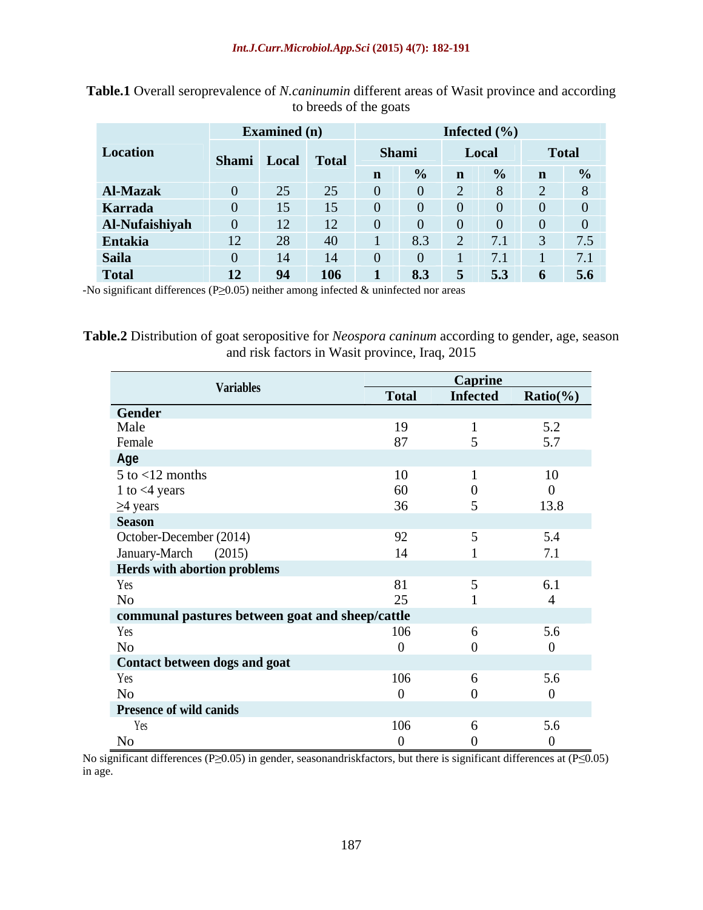|                           |                   | Examined (n) |              |           | Infected $(\% )$                              |              |
|---------------------------|-------------------|--------------|--------------|-----------|-----------------------------------------------|--------------|
| <b>Location</b>           | Shami Local Total |              | <b>Shami</b> |           | <b>Local</b>                                  | <b>Total</b> |
|                           |                   |              |              |           | $\frac{0}{6}$ n $\frac{0}{6}$ n $\frac{0}{6}$ |              |
| <b>Al-Mazak</b>           |                   |              |              |           |                                               |              |
| Karrada                   |                   |              |              |           |                                               |              |
|                           |                   |              |              |           |                                               |              |
| Al-Nufaishiyah<br>Entakia |                   |              |              |           |                                               |              |
| Saila                     |                   |              |              |           |                                               |              |
| <b>Total</b>              |                   |              |              | <b>XX</b> |                                               |              |

**Table.1** Overall seroprevalence of *N.caninumin* different areas of Wasit province and according to breeds of the goats

-No significant differences (P $\geq$ 0.05) neither among infected & uninfected nor areas

**Table.2** Distribution of goat seropositive for *Neospora caninum* according to gender, age, season and risk factors in Wasit province, Iraq, 2015

| <b>Variables</b>                                |              | <b>Caprine</b>  |              |
|-------------------------------------------------|--------------|-----------------|--------------|
|                                                 | <b>Total</b> | <b>Infected</b> | $Ratio(\% )$ |
| Gender                                          |              |                 |              |
| Male                                            | 19           |                 | 5.2          |
| Female                                          |              |                 | 57           |
| Age                                             |              |                 |              |
| $5$ to $<$ 12 months                            | 10           |                 |              |
| 1 to $<$ 4 years                                | 60           |                 |              |
| $\geq$ 4 years                                  | 36           |                 | 13.8         |
| <b>Season</b>                                   |              |                 |              |
| October-December (2014)                         | 92           |                 | 5.4          |
| (2015)<br>January-March                         |              |                 |              |
| Herds with abortion problems                    |              |                 |              |
| Yes                                             | 81           |                 | 6.1          |
| No                                              | 25           |                 |              |
| communal pastures between goat and sheep/cattle |              |                 |              |
| Yes                                             | 106          |                 | 5.6          |
| No                                              |              |                 |              |
| Contact between dogs and goat                   |              |                 |              |
| Yes                                             | 106          |                 | 5.6          |
| <b>No</b>                                       |              |                 |              |
| <b>Presence of wild canids</b>                  |              |                 |              |
| Y es                                            | 106          |                 | 5.6          |
| No                                              |              |                 |              |

No significant differences (P $\geq$ 0.05) in gender, seasonandriskfactors, but there is significant differences at (P $\leq$ 0.05) in age.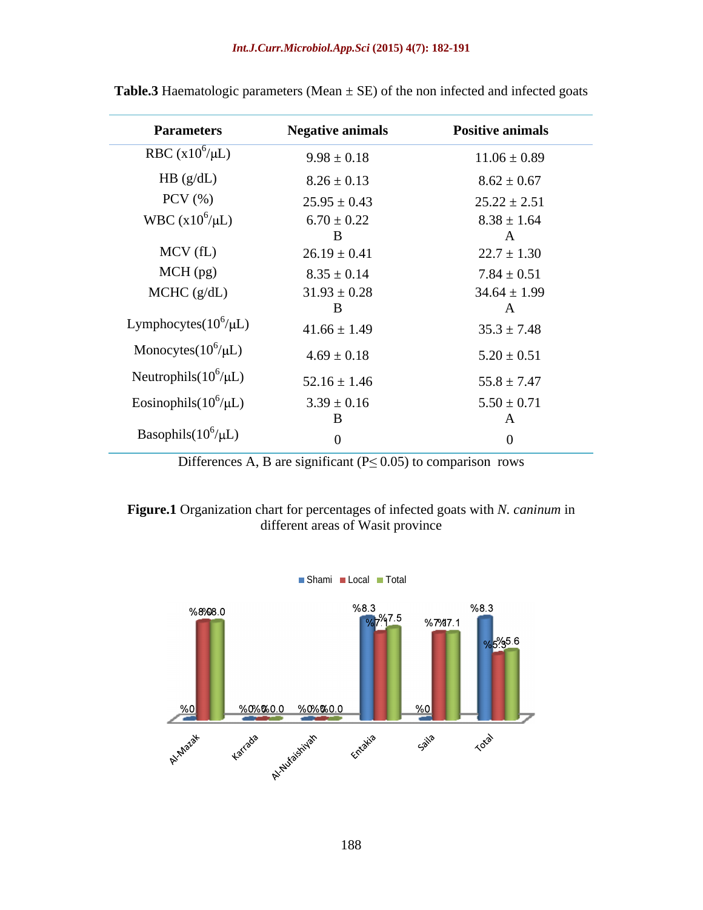| <b>Parameters</b>          | <b>Negative animals</b> | <b>Positive animals</b> |
|----------------------------|-------------------------|-------------------------|
| RBC $(x10^6/\mu L)$        | $9.98 \pm 0.18$         | $11.06 \pm 0.89$        |
| HB (g/dL)                  | $8.26 \pm 0.13$         | $8.62 \pm 0.67$         |
| $PCV$ $(\% )$              | $25.95 \pm 0.43$        | $25.22 \pm 2.51$        |
| WBC $(x10^6/\mu L)$        | $6.70 \pm 0.22$         | $8.38 \pm 1.64$         |
|                            |                         | $\mathbf{A}$            |
| MCV (fL)                   | $26.19 \pm 0.41$        | $22.7 \pm 1.30$         |
| MCH (pg)                   | $8.35 \pm 0.14$         | $7.84 \pm 0.51$         |
| MCHC (g/dL)                | $31.93 \pm 0.28$        | $34.64 \pm 1.99$        |
|                            |                         | $\mathbf{A}$            |
| Lymphocytes $(10^6/\mu L)$ | $41.66 \pm 1.49$        | $35.3 \pm 7.48$         |
| Monocytes $(10^6/\mu L)$   | $4.69 \pm 0.18$         | $5.20 \pm 0.51$         |
| Neutrophils $(10^6/\mu L)$ | $52.16 \pm 1.46$        | $55.8 \pm 7.47$         |
| Eosinophils $(10^6/\mu L)$ | $3.39 \pm 0.16$         | $5.50 \pm 0.71$         |
|                            |                         | $\mathbf{A}$            |
| Basophils $(10^6/\mu L)$   |                         | $\mathbf{0}$            |

**Table.3** Haematologic parameters (Mean  $\pm$  SE) of the non infected and infected goats

Differences A, B are significant ( $P \le 0.05$ ) to comparison rows

# **Figure.1** Organization chart for percentages of infected goats with *N. caninum* in different areas of Wasit province

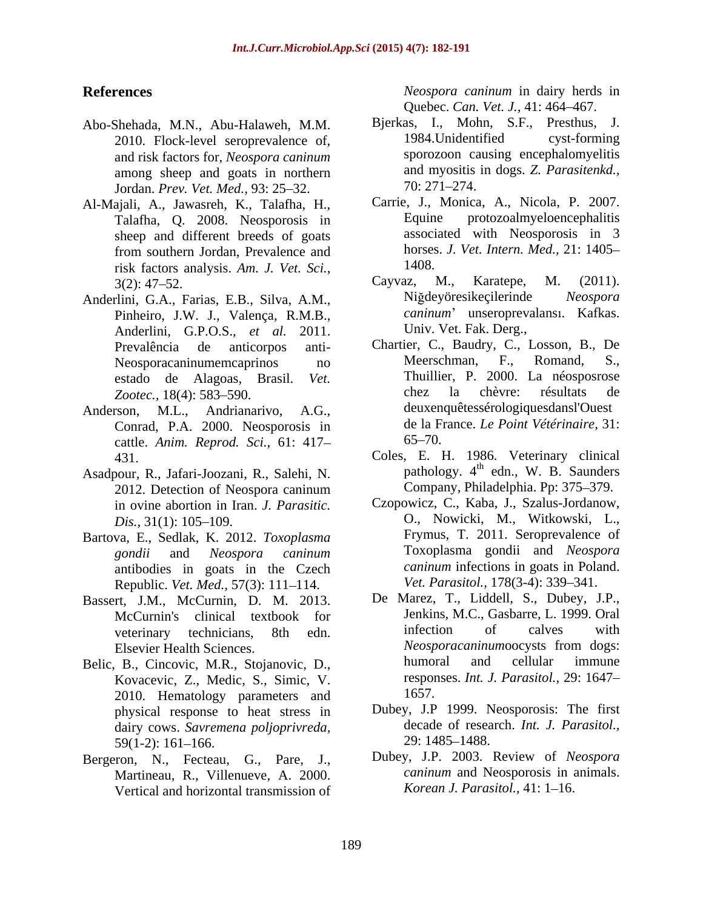- 2010. Flock-level seroprevalence of, and risk factors for, *Neospora caninum* among sheep and goats in northern and myositis<br>
Lordan *Pray Vat Med* 93:25, 32 70: 271–274. Jordan. *Prev. Vet. Med.*, 93: 25-32.
- Al-Majali, A., Jawasreh, K., Talafha, H., Carrie, J., M.<br>Talafha, O. 2008, Neosporosis in Equine Talafha, Q. 2008. Neosporosis in sheep and different breeds of goats from southern Jordan, Prevalence and<br>risk factors analysis Am I Vet Sci 1408. risk factors analysis. *Am. J. Vet. Sci.,*
- Pinheiro, J.W. J., Valença, R.M.B., Anderlini, G.P.O.S., *et al.* 2011.
- Anderson, M.L., Andrianarivo, A.G., Conrad, P.A. 2000. Neosporosis in de la Fi<br>cattle Anim Banced Sci. 61: 417 65–70 cattle. *Anim. Reprod. Sci.,* 61: 417
- Asadpour, R., Jafari-Joozani, R., Salehi, N. 2012. Detection of Neospora caninum Company, Philadelphia. Pp: 375–379. in ovine abortion in Iran. *J. Parasitic.*
- Bartova, E., Sedlak, K. 2012. *Toxoplasma*  antibodies in goats in the Czech Republic. *Vet. Med.*, 57(3): 111–114.
- Bassert, J.M., McCurnin, D. M. 2013.
- Belic, B., Cincovic, M.R., Stojanovic, D., Kovacevic, Z., Medic, S., Simic, V.<br>
2010 Hematology parameters and 1657. 2010. Hematology parameters and physical response to heat stress in dairy cows. *Savremena poljoprivreda*, decade of resea<br>
59(1-2): 161–166<br>
29: 1485–1488.  $59(1-2): 161-166.$  29: 1485-1488.
- Bergeron, N., Fecteau, G., Pare, J., Martineau, R., Villenueve, A. 2000. Vertical and horizontal transmission of

**References** *Neospora caninum* in dairy herds in Quebec. *Can. Vet. J.*, 41: 464–467.

- Abo-Shehada, M.N., Abu-Halaweh, M.M. Bjerkas, I., Mohn, S.F., Presthus, J.<br>2010 Flock-level seroprevalence of 1984. Unidentified cyst-forming Bjerkas, I., Mohn, S.F., Presthus, J. 1984.Unidentified cyst-forming sporozoon causing encephalomyelitis and myositis in dogs. *Z. Parasitenkd.,* 70: 271 274.
	- Carrie, J., Monica, A., Nicola, P. 2007. protozoalmyeloencephalitis associated with Neosporosis in 3 horses. *J. Vet. Intern. Med.,* 21: 1405 1408.
- 3(2): 47–52. Cayvaz, M., Karatepe, M. (2011). Anderlini, G.A., Farias, E.B., Silva, A.M., Cayvaz, M., Karatepe, M. (2011). Ni deyöresikeçilerinde *Neospora caninum*' unseroprevalans . Kafkas. Univ. Vet. Fak. Derg.,
	- Prevalência de anticorpos anti- Chartier, C., Baudry, C., Losson, B., De Neosporacaninumemcaprinos no Meerschman, F., Romand, S., estado de Alagoas, Brasil. *Vet. Zootec.,* 18(4): 583 590. Meerschman, F., Romand, S., Thuillier, P. 2000. La néosposrose chez la chèvre: résultats de deuxenquêtessérologiquesdansl'Ouest de la France. *Le Point Vétérinaire,* 31:  $65 - 70.$
	- 431. Coles, E. H. 1986. Veterinary clinical pathology. 4<sup>th</sup> edn., W. B. Saunders Company, Philadelphia. Pp: 375–379.
	- *Dis.*, 31(1): 105–109. **O., Nowicki, M., Witkowski, L.,** *gondii* and *Neospora caninum* Czopowicz, C., Kaba, J., Szalus-Jordanow, Frymus, T. 2011. Seroprevalence of Toxoplasma gondii and *Neospora caninum* infections in goats in Poland. *Vet. Parasitol.,* 178(3-4): 339-341.
	- McCurnin's clinical textbook for the Jenkins, M.C., Gasbarre, L. 1999. Oral<br>veterinary technicians 8th edn infection of calves with veterinary technicians, 8th edn. Infection of calves with Elsevier Health Sciences.<br>
	B Cincovic M R Stoianovic D humoral and cellular immune De Marez, T., Liddell, S., Dubey, J.P., Jenkins, M.C., Gasbarre, L. 1999. Oral infection of calves with *Neosporacaninum*oocysts from dogs: humoral and cellular immune responses. *Int. J. Parasitol.,* 29: 1647 1657.
		- Dubey, J.P 1999. Neosporosis: The first decade of research. *Int. J. Parasitol.,* 29: 1485–1488.
		- Dubey, J.P. 2003. Review of *Neospora caninum* and Neosporosis in animals. *Korean J. Parasitol., 41: 1-16.*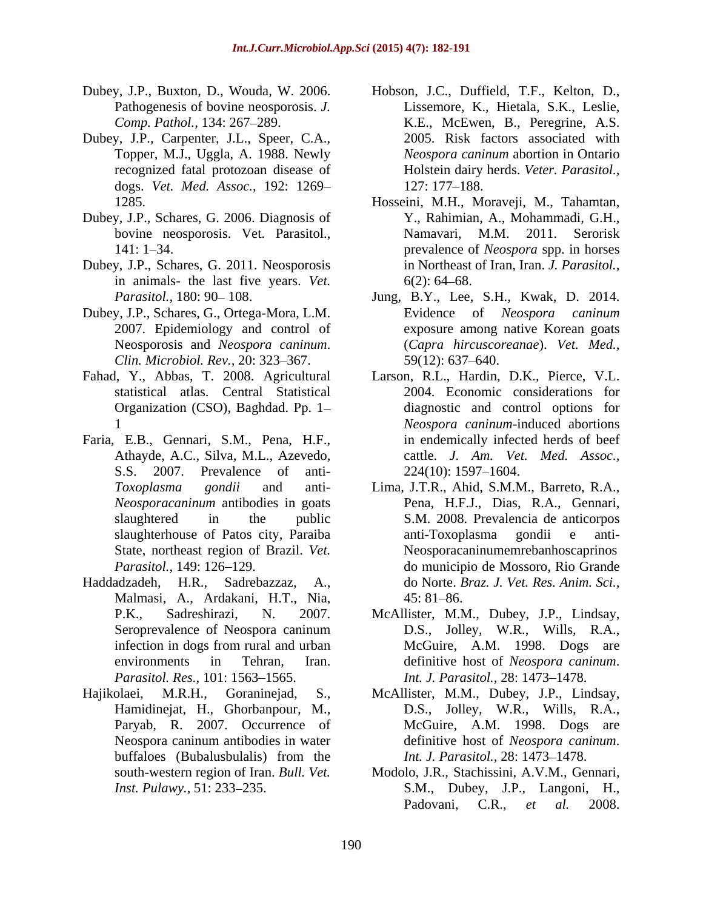- 
- Dubey, J.P., Carpenter, J.L., Speer, C.A., dogs. *Vet. Med. Assoc.,* 192: 1269
- Dubey, J.P., Schares, G. 2006. Diagnosis of
- Dubey, J.P., Schares, G. 2011. Neosporosis in animals- the last five years. *Vet.*
- *Clin. Microbiol. Rev., 20: 323–367.* 59(12): 637–640.
- statistical atlas. Central Statistical Organization (CSO), Baghdad. Pp. 1
- Faria, E.B., Gennari, S.M., Pena, H.F., S.S. 2007. Prevalence of anti- 224(10): 1597–1604.
- Malmasi, A., Ardakani, H.T., Nia,
- 
- Dubey, J.P., Buxton, D., Wouda, W. 2006. Hobson, J.C., Duffield, T.F., Kelton, D., Pathogenesis of bovine neosporosis. *J.*  Lissemore, K., Hietala, S.K., Leslie, Comp. Pathol., 134: 267–289. **K.E., McEwen, B., Peregrine, A.S.** Topper, M.J., Uggla, A. 1988. Newly recognized fatal protozoan disease of Holstein dairy herds. *Veter. Parasitol.,* 2005. Risk factors associated with *Neospora caninum* abortion in Ontario 127: 177 188.
	- 1285. Hosseini, M.H., Moraveji, M., Tahamtan, bovine neosporosis. Vet. Parasitol., Namavari, M.M. 2011. Serorisk 141: 1–34. **prevalence** of *Neospora* spp. in horses Y., Rahimian, A., Mohammadi, G.H., Namavari, M.M. 2011. Serorisk in Northeast of Iran, Iran. *J. Parasitol.,*  $6(2)$ : 64–68.
- *Parasitol.*, 180: 90–108. Jung, B.Y., Lee, S.H., Kwak, D. 2014. Dubey, J.P., Schares, G., Ortega-Mora, L.M. 2007. Epidemiology and control of exposure among native Korean goats Neosporosis and *Neospora caninum*. (*Capra hircuscoreanae*). *Vet. Med.,* Evidence of *Neospora caninum*  $59(12): 637 - 640.$
- Fahad, Y., Abbas, T. 2008. Agricultural Larson, R.L., Hardin, D.K., Pierce, V.L. 1 *Neospora caninum*-induced abortions Athayde, A.C., Silva, M.L., Azevedo, cattle. *J. Am. Vet. Med. Assoc.,* 2004. Economic considerations for diagnostic and control options for in endemically infected herds of beef 224(10): 1597 1604.
- *Toxoplasma gondii* and anti- Lima, J.T.R., Ahid, S.M.M., Barreto, R.A., *Neosporacaninum* antibodies in goats Pena, H.F.J., Dias, R.A., Gennari, slaughtered in the public S.M. 2008. Prevalencia de anticorpos slaughterhouse of Patos city, Paraiba anti-Toxoplasma gondii e anti-State, northeast region of Brazil. *Vet.*  Neosporacaninumemrebanhoscaprinos Parasitol., 149: 126–129. **do municipio de Mossoro, Rio Grande** Haddadzadeh, H.R., Sadrebazzaz, A., do Norte. *Braz. J. Vet. Res. Anim. Sci.,* anti-Toxoplasma gondii e anti-  $45: 81 - 86.$ 
	- P.K., Sadreshirazi, N. 2007. McAllister, M.M., Dubey, J.P., Lindsay, Seroprevalence of Neospora caninum D.S., Jolley, W.R., Wills, R.A., infection in dogs from rural and urban McGuire, A.M. 1998. Dogs are environments in Tehran, Iran. definitive host of *Neospora caninum*. *Parasitol. Res.,* 101: 1563–1565. *Int. J. Parasitol.,* 28: 1473–1478. D.S., Jolley, W.R., Wills, R.A., McGuire, A.M. 1998. Dogs are
- Hajikolaei, M.R.H., Goraninejad, S., McAllister, M.M., Dubey, J.P., Lindsay, Hamidinejat, H., Ghorbanpour, M., D.S., Jolley, W.R., Wills, R.A., Paryab, R. 2007. Occurrence of McGuire, A.M. 1998. Dogs are Neospora caninum antibodies in water **Example 2** definitive host of *Neospora caninum*. buffaloes (Bubalusbulalis) from the *Int. J. Parasitol.*, 28: 1473–1478. definitive host of *Neospora caninum*. *Int. J. Parasitol., 28: 1473-1478.* 
	- south-western region of Iran. *Bull. Vet.*  Modolo, J.R., Stachissini, A.V.M., Gennari, *Inst. Pulawy.,* 51: 233–235. S.M., Dubey, J.P., Langoni, H., Padovani, C.R., *et al.* 2008.